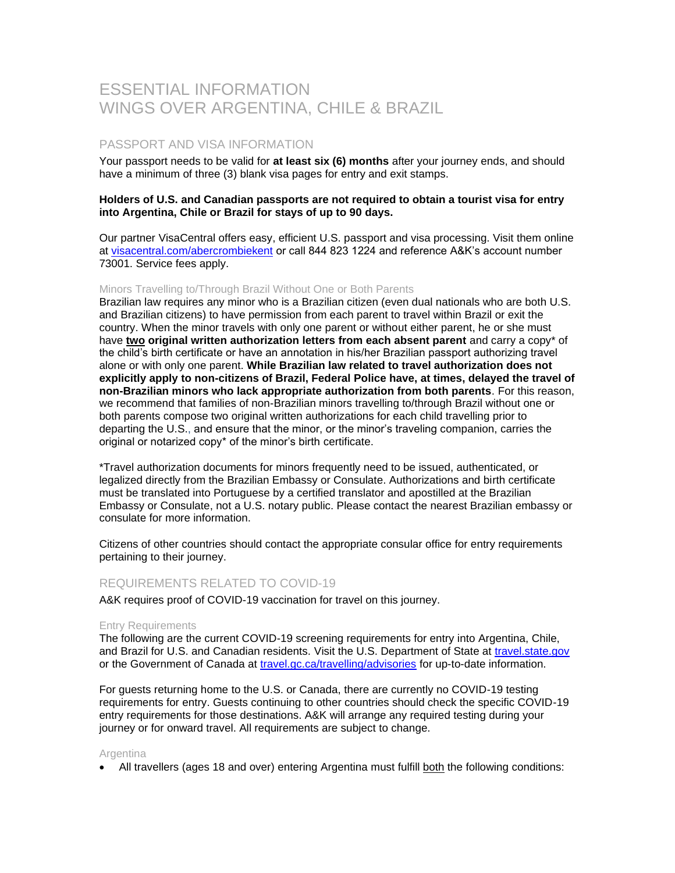# ESSENTIAL INFORMATION WINGS OVER ARGENTINA, CHILE & BRAZIL

## PASSPORT AND VISA INFORMATION

Your passport needs to be valid for **at least six (6) months** after your journey ends, and should have a minimum of three (3) blank visa pages for entry and exit stamps.

## **Holders of U.S. and Canadian passports are not required to obtain a tourist visa for entry into Argentina, Chile or Brazil for stays of up to 90 days.**

Our partner VisaCentral offers easy, efficient U.S. passport and visa processing. Visit them online at [visacentral.com/abercrombiekent](http://www.visacentral.com/abercrombiekent) or call 844 823 1224 and reference A&K's account number 73001. Service fees apply.

#### Minors Travelling to/Through Brazil Without One or Both Parents

Brazilian law requires any minor who is a Brazilian citizen (even dual nationals who are both U.S. and Brazilian citizens) to have permission from each parent to travel within Brazil or exit the country. When the minor travels with only one parent or without either parent, he or she must have **two original written authorization letters from each absent parent** and carry a copy\* of the child's birth certificate or have an annotation in his/her Brazilian passport authorizing travel alone or with only one parent. **While Brazilian law related to travel authorization does not explicitly apply to non-citizens of Brazil, Federal Police have, at times, delayed the travel of non-Brazilian minors who lack appropriate authorization from both parents**. For this reason, we recommend that families of non-Brazilian minors travelling to/through Brazil without one or both parents compose two original written authorizations for each child travelling prior to departing the U.S., and ensure that the minor, or the minor's traveling companion, carries the original or notarized copy\* of the minor's birth certificate.

\*Travel authorization documents for minors frequently need to be issued, authenticated, or legalized directly from the Brazilian Embassy or Consulate. Authorizations and birth certificate must be translated into Portuguese by a certified translator and apostilled at the Brazilian Embassy or Consulate, not a U.S. notary public. Please contact the nearest Brazilian embassy or consulate for more information.

Citizens of other countries should contact the appropriate consular office for entry requirements pertaining to their journey.

## REQUIREMENTS RELATED TO COVID-19

A&K requires proof of COVID-19 vaccination for travel on this journey.

#### Entry Requirements

The following are the current COVID-19 screening requirements for entry into Argentina, Chile, and Brazil for U.S. and Canadian residents. Visit the U.S. Department of State at [travel.state.gov](https://travel.state.gov/content/travel/en/international-travel.html) or the Government of Canada at [travel.gc.ca/travelling/advisories](https://travel.gc.ca/travelling/advisories) for up-to-date information.

For guests returning home to the U.S. or Canada, there are currently no COVID-19 testing requirements for entry. Guests continuing to other countries should check the specific COVID-19 entry requirements for those destinations. A&K will arrange any required testing during your journey or for onward travel. All requirements are subject to change.

#### **Argentina**

• All travellers (ages 18 and over) entering Argentina must fulfill both the following conditions: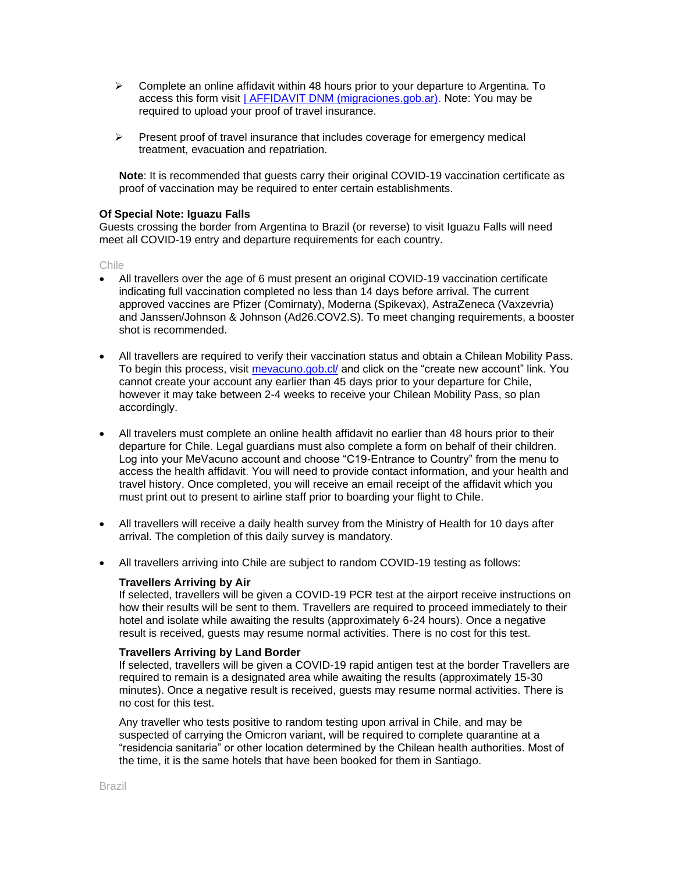- $\triangleright$  Complete an online affidavit within 48 hours prior to your departure to Argentina. To access this form visit [| AFFIDAVIT DNM \(migraciones.gob.ar\).](https://ddjj.migraciones.gob.ar/app/home.php) Note: You may be required to upload your proof of travel insurance.
- $\triangleright$  Present proof of travel insurance that includes coverage for emergency medical treatment, evacuation and repatriation.

**Note**: It is recommended that guests carry their original COVID-19 vaccination certificate as proof of vaccination may be required to enter certain establishments.

### **Of Special Note: Iguazu Falls**

Guests crossing the border from Argentina to Brazil (or reverse) to visit Iguazu Falls will need meet all COVID-19 entry and departure requirements for each country.

Chile

- All travellers over the age of 6 must present an original COVID-19 vaccination certificate indicating full vaccination completed no less than 14 days before arrival. The current approved vaccines are Pfizer (Comirnaty), Moderna (Spikevax), AstraZeneca (Vaxzevria) and Janssen/Johnson & Johnson (Ad26.COV2.S). To meet changing requirements, a booster shot is recommended.
- All travellers are required to verify their vaccination status and obtain a Chilean Mobility Pass. To begin this process, visit [mevacuno.gob.cl/](https://mevacuno.gob.cl/) and click on the "create new account" link. You cannot create your account any earlier than 45 days prior to your departure for Chile, however it may take between 2-4 weeks to receive your Chilean Mobility Pass, so plan accordingly.
- All travelers must complete an online health affidavit no earlier than 48 hours prior to their departure for Chile. Legal guardians must also complete a form on behalf of their children. Log into your MeVacuno account and choose "C19-Entrance to Country" from the menu to access the health affidavit. You will need to provide contact information, and your health and travel history. Once completed, you will receive an email receipt of the affidavit which you must print out to present to airline staff prior to boarding your flight to Chile.
- All travellers will receive a daily health survey from the Ministry of Health for 10 days after arrival. The completion of this daily survey is mandatory.
- All travellers arriving into Chile are subject to random COVID-19 testing as follows:

## **Travellers Arriving by Air**

If selected, travellers will be given a COVID-19 PCR test at the airport receive instructions on how their results will be sent to them. Travellers are required to proceed immediately to their hotel and isolate while awaiting the results (approximately 6-24 hours). Once a negative result is received, guests may resume normal activities. There is no cost for this test.

#### **Travellers Arriving by Land Border**

If selected, travellers will be given a COVID-19 rapid antigen test at the border Travellers are required to remain is a designated area while awaiting the results (approximately 15-30 minutes). Once a negative result is received, guests may resume normal activities. There is no cost for this test.

Any traveller who tests positive to random testing upon arrival in Chile, and may be suspected of carrying the Omicron variant, will be required to complete quarantine at a "residencia sanitaria" or other location determined by the Chilean health authorities. Most of the time, it is the same hotels that have been booked for them in Santiago.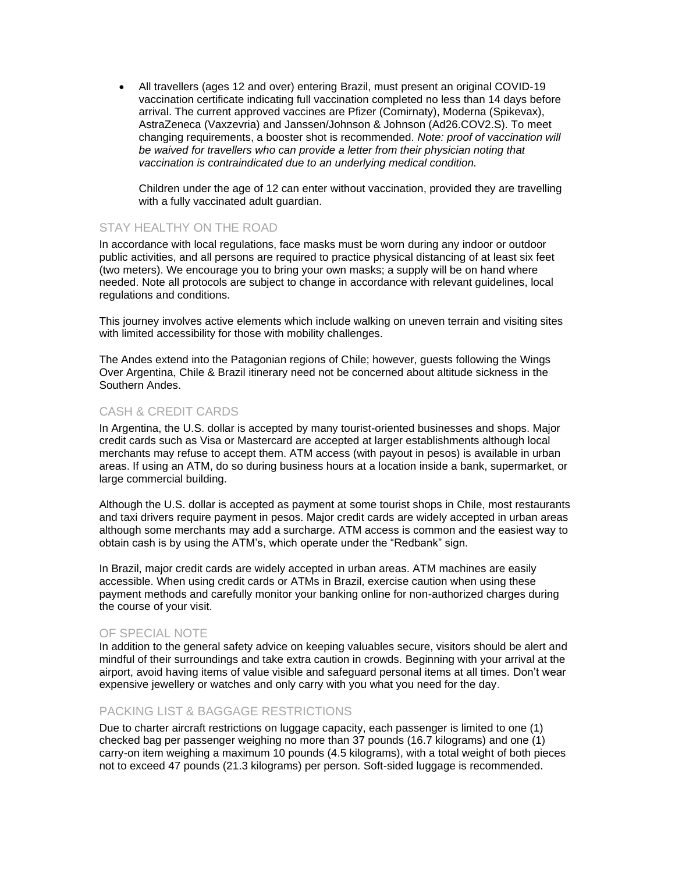• All travellers (ages 12 and over) entering Brazil, must present an original COVID-19 vaccination certificate indicating full vaccination completed no less than 14 days before arrival. The current approved vaccines are Pfizer (Comirnaty), Moderna (Spikevax), AstraZeneca (Vaxzevria) and Janssen/Johnson & Johnson (Ad26.COV2.S). To meet changing requirements, a booster shot is recommended. *Note: proof of vaccination will be waived for travellers who can provide a letter from their physician noting that vaccination is contraindicated due to an underlying medical condition.*

Children under the age of 12 can enter without vaccination, provided they are travelling with a fully vaccinated adult guardian.

# STAY HEALTHY ON THE ROAD

In accordance with local regulations, face masks must be worn during any indoor or outdoor public activities, and all persons are required to practice physical distancing of at least six feet (two meters). We encourage you to bring your own masks; a supply will be on hand where needed. Note all protocols are subject to change in accordance with relevant guidelines, local regulations and conditions.

This journey involves active elements which include walking on uneven terrain and visiting sites with limited accessibility for those with mobility challenges.

The Andes extend into the Patagonian regions of Chile; however, guests following the Wings Over Argentina, Chile & Brazil itinerary need not be concerned about altitude sickness in the Southern Andes.

# CASH & CREDIT CARDS

In Argentina, the U.S. dollar is accepted by many tourist-oriented businesses and shops. Major credit cards such as Visa or Mastercard are accepted at larger establishments although local merchants may refuse to accept them. ATM access (with payout in pesos) is available in urban areas. If using an ATM, do so during business hours at a location inside a bank, supermarket, or large commercial building.

Although the U.S. dollar is accepted as payment at some tourist shops in Chile, most restaurants and taxi drivers require payment in pesos. Major credit cards are widely accepted in urban areas although some merchants may add a surcharge. ATM access is common and the easiest way to obtain cash is by using the ATM's, which operate under the "Redbank" sign.

In Brazil, major credit cards are widely accepted in urban areas. ATM machines are easily accessible. When using credit cards or ATMs in Brazil, exercise caution when using these payment methods and carefully monitor your banking online for non-authorized charges during the course of your visit.

## OF SPECIAL NOTE

In addition to the general safety advice on keeping valuables secure, visitors should be alert and mindful of their surroundings and take extra caution in crowds. Beginning with your arrival at the airport, avoid having items of value visible and safeguard personal items at all times. Don't wear expensive jewellery or watches and only carry with you what you need for the day.

## PACKING LIST & BAGGAGE RESTRICTIONS

Due to charter aircraft restrictions on luggage capacity, each passenger is limited to one (1) checked bag per passenger weighing no more than 37 pounds (16.7 kilograms) and one (1) carry-on item weighing a maximum 10 pounds (4.5 kilograms), with a total weight of both pieces not to exceed 47 pounds (21.3 kilograms) per person. Soft-sided luggage is recommended.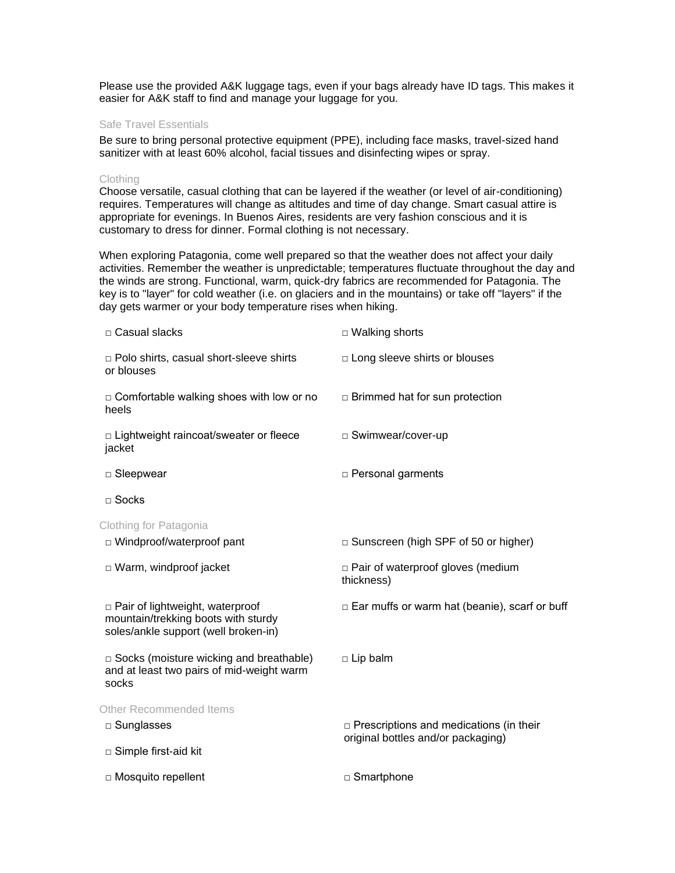Please use the provided A&K luggage tags, even if your bags already have ID tags. This makes it easier for A&K staff to find and manage your luggage for you.

#### Safe Travel Essentials

Be sure to bring personal protective equipment (PPE), including face masks, travel-sized hand sanitizer with at least 60% alcohol, facial tissues and disinfecting wipes or spray.

#### **Clothing**

Choose versatile, casual clothing that can be layered if the weather (or level of air-conditioning) requires. Temperatures will change as altitudes and time of day change. Smart casual attire is appropriate for evenings. In Buenos Aires, residents are very fashion conscious and it is customary to dress for dinner. Formal clothing is not necessary.

When exploring Patagonia, come well prepared so that the weather does not affect your daily activities. Remember the weather is unpredictable; temperatures fluctuate throughout the day and the winds are strong. Functional, warm, quick-dry fabrics are recommended for Patagonia. The key is to "layer" for cold weather (i.e. on glaciers and in the mountains) or take off "layers" if the day gets warmer or your body temperature rises when hiking.

| $\Box$ Ear muffs or warm hat (beanie), scarf or buff |
|------------------------------------------------------|
|                                                      |
|                                                      |
|                                                      |
| $\Box$ Prescriptions and medications (in their       |
|                                                      |
|                                                      |